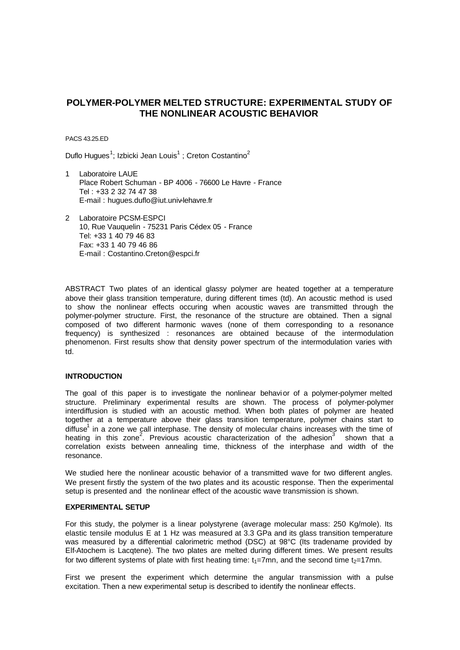# **POLYMER-POLYMER MELTED STRUCTURE: EXPERIMENTAL STUDY OF THE NONLINEAR ACOUSTIC BEHAVIOR**

PACS 43.25.ED

Duflo Hugues<sup>1</sup>; Izbicki Jean Louis<sup>1</sup>; Creton Costantino<sup>2</sup>

- Laboratoire LAUE Place Robert Schuman - BP 4006 - 76600 Le Havre - France Tel : +33 2 32 74 47 38 E-mail : hugues.duflo@iut.univ-lehavre.fr
- 2 Laboratoire PCSM-ESPCI 10, Rue Vauquelin - 75231 Paris Cédex 05 - France Tel: +33 1 40 79 46 83 Fax: +33 1 40 79 46 86 E-mail : Costantino.Creton@espci.fr

ABSTRACT Two plates of an identical glassy polymer are heated together at a temperature above their glass transition temperature, during different times (td). An acoustic method is used to show the nonlinear effects occuring when acoustic waves are transmitted through the polymer-polymer structure. First, the resonance of the structure are obtained. Then a signal composed of two different harmonic waves (none of them corresponding to a resonance frequency) is synthesized : resonances are obtained because of the intermodulation phenomenon. First results show that density power spectrum of the intermodulation varies with td.

### **INTRODUCTION**

The goal of this paper is to investigate the nonlinear behavior of a polymer-polymer melted structure. Preliminary experimental results are shown. The process of polymer-polymer interdiffusion is studied with an acoustic method. When both plates of polymer are heated together at a temperature above their glass transition temperature, polymer chains start to diffuse<sup>1</sup> in a zone we call interphase. The density of molecular chains increases with the time of heating in this zone<sup>2</sup>. Previous acoustic characterization of the adhesion<sup>3</sup> shown that a correlation exists between annealing time, thickness of the interphase and width of the resonance.

We studied here the nonlinear acoustic behavior of a transmitted wave for two different angles. We present firstly the system of the two plates and its acoustic response. Then the experimental setup is presented and the nonlinear effect of the acoustic wave transmission is shown.

#### **EXPERIMENTAL SETUP**

For this study, the polymer is a linear polystyrene (average molecular mass: 250 Kg/mole). Its elastic tensile modulus E at 1 Hz was measured at 3.3 GPa and its glass transition temperature was measured by a differential calorimetric method (DSC) at 98°C (Its tradename provided by Elf-Atochem is Lacqtene). The two plates are melted during different times. We present results for two different systems of plate with first heating time:  $t_1=7$ mn, and the second time  $t_2=17$ mn.

First we present the experiment which determine the angular transmission with a pulse excitation. Then a new experimental setup is described to identify the nonlinear effects.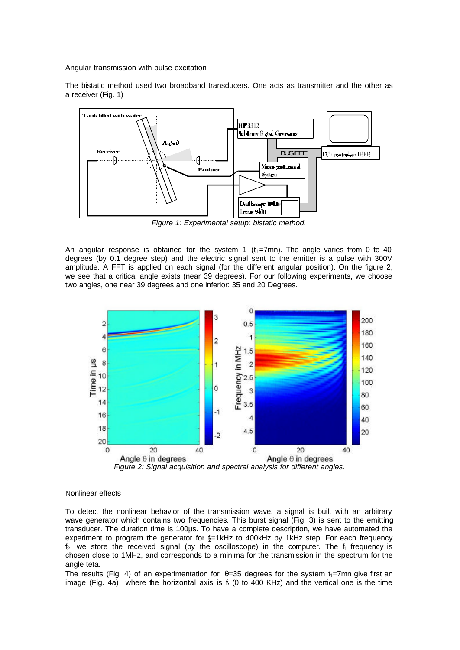Angular transmission with pulse excitation

The bistatic method used two broadband transducers. One acts as transmitter and the other as a receiver (Fig. 1)



*Figure 1: Experimental setup: bistatic method.*

An angular response is obtained for the system 1  $(t<sub>1</sub>=7mn)$ . The angle varies from 0 to 40 degrees (by 0.1 degree step) and the electric signal sent to the emitter is a pulse with 300V amplitude. A FFT is applied on each signal (for the different angular position). On the figure 2, we see that a critical angle exists (near 39 degrees). For our following experiments, we choose two angles, one near 39 degrees and one inferior: 35 and 20 Degrees.



*Figure 2: Signal acquisition and spectral analysis for different angles.*

## Nonlinear effects

To detect the nonlinear behavior of the transmission wave, a signal is built with an arbitrary wave generator which contains two frequencies. This burst signal (Fig. 3) is sent to the emitting transducer. The duration time is 100µs. To have a complete description, we have automated the experiment to program the generator for  $E=1kHz$  to 400kHz by 1kHz step. For each frequency  $f_2$ , we store the received signal (by the oscilloscope) in the computer. The  $f_1$  frequency is chosen close to 1MHz, and corresponds to a minima for the transmission in the spectrum for the angle teta.

The results (Fig. 4) of an experimentation for  $\theta = 35$  degrees for the system t<sub>1</sub>=7mn give first an image (Fig. 4a) where the horizontal axis is  $6(0)$  to 400 KHz) and the vertical one is the time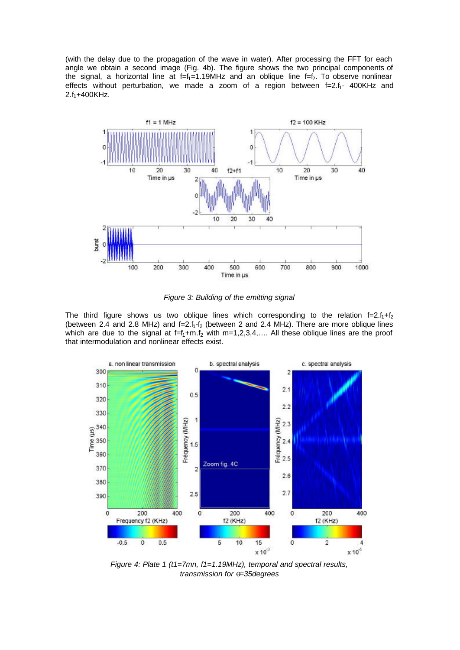(with the delay due to the propagation of the wave in water). After processing the FFT for each angle we obtain a second image (Fig. 4b). The figure shows the two principal components of the signal, a horizontal line at  $f=f_1=1.19$ MHz and an oblique line  $f=f_2$ . To observe nonlinear effects without perturbation, we made a zoom of a region between  $f=2.f_1-400KHz$  and  $2.f_1+400KHz$ .



*Figure 3: Building of the emitting signal*

The third figure shows us two oblique lines which corresponding to the relation  $f=2.f_1+f_2$ (between 2.4 and 2.8 MHz) and  $f=2.f_1-f_2$  (between 2 and 2.4 MHz). There are more oblique lines which are due to the signal at  $f=f_1+m.f_2$  with m=1,2,3,4,.... All these oblique lines are the proof that intermodulation and nonlinear effects exist.



*Figure 4: Plate 1 (t1=7mn, f1=1.19MHz), temporal and spectral results, transmission for q=35degrees*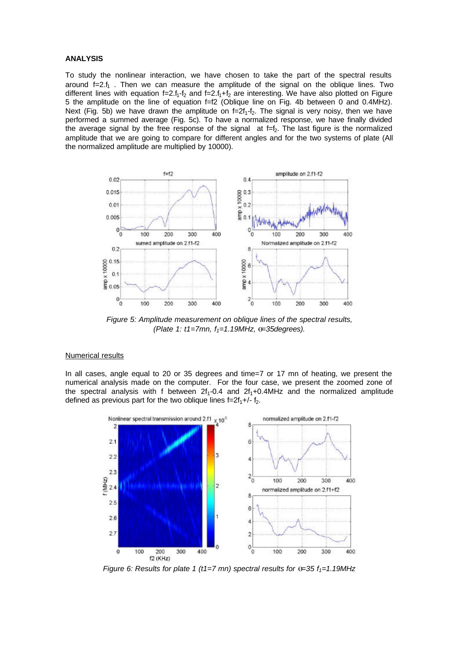### **ANALYSIS**

To study the nonlinear interaction, we have chosen to take the part of the spectral results around  $f=2.f<sub>1</sub>$ . Then we can measure the amplitude of the signal on the oblique lines. Two different lines with equation  $f=2.f_1-f_2$  and  $f=2.f_1+f_2$  are interesting. We have also plotted on Figure 5 the amplitude on the line of equation f=f2 (Oblique line on Fig. 4b between 0 and 0.4MHz). Next (Fig. 5b) we have drawn the amplitude on  $f=2f_1-f_2$ . The signal is very noisy, then we have performed a summed average (Fig. 5c). To have a normalized response, we have finally divided the average signal by the free response of the signal  $at f=f<sub>2</sub>$ . The last figure is the normalized amplitude that we are going to compare for different angles and for the two systems of plate (All the normalized amplitude are multiplied by 10000).



*Figure 5: Amplitude measurement on oblique lines of the spectral results, (Plate 1: t1=7mn, f1=1.19MHz, q=35degrees).*

#### Numerical results

In all cases, angle equal to 20 or 35 degrees and time=7 or 17 mn of heating, we present the numerical analysis made on the computer. For the four case, we present the zoomed zone of the spectral analysis with f between  $2f_1$ -0.4 and  $2f_1$ +0.4MHz and the normalized amplitude defined as previous part for the two oblique lines  $f=2f<sub>1</sub>+/- f<sub>2</sub>$ .



*Figure 6: Results for plate 1 (t1=7 mn) spectral results for*  $\theta$ *=35*  $f_1$ *=1.19MHz*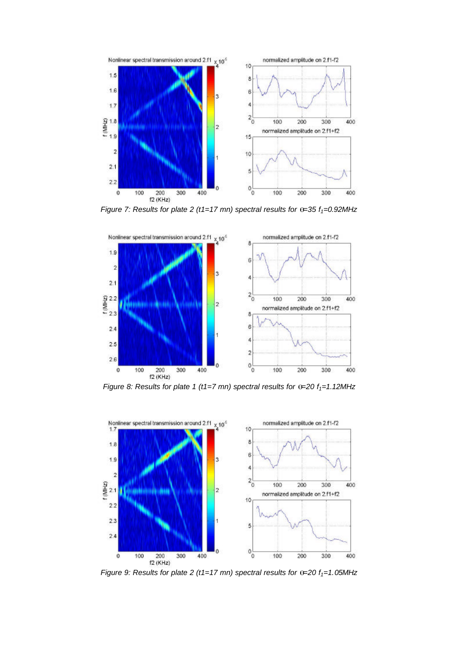

*Figure 7: Results for plate 2 (t1=17 mn) spectral results for*  $\theta$ *=35*  $f_1$ *=0.92MHz* 



*Figure 8: Results for plate 1 (t1=7 mn) spectral results for*  $\theta$ *=20*  $f_1$ *=1.12MHz* 



*Figure 9: Results for plate 2 (t1=17 mn) spectral results for*  $\theta$ *=20 f<sub>1</sub>=1.05MHz*